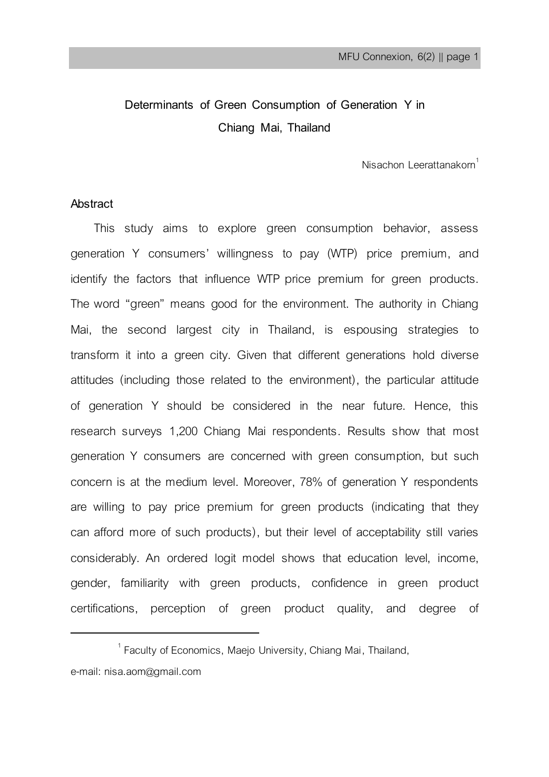# **Determinants of Green Consumption of Generation Y in Chiang Mai, Thailand**

Nisachon Leerattanakorn $1$ 

### **Abstract**

 $\overline{a}$ 

This study aims to explore green consumption behavior, assess generation Y consumers' willingness to pay (WTP) price premium, and identify the factors that influence WTP price premium for green products. The word "green" means good for the environment. The authority in Chiang Mai, the second largest city in Thailand, is espousing strategies to transform it into a green city. Given that different generations hold diverse attitudes (including those related to the environment), the particular attitude of generation Y should be considered in the near future. Hence, this research surveys 1,200 Chiang Mai respondents. Results show that most generation Y consumers are concerned with green consumption, but such concern is at the medium level. Moreover, 78% of generation Y respondents are willing to pay price premium for green products (indicating that they can afford more of such products), but their level of acceptability still varies considerably. An ordered logit model shows that education level, income, gender, familiarity with green products, confidence in green product certifications, perception of green product quality, and degree of

 $^1$  Faculty of Economics, Maejo University, Chiang Mai, Thailand, e-mail: nisa.aom@gmail.com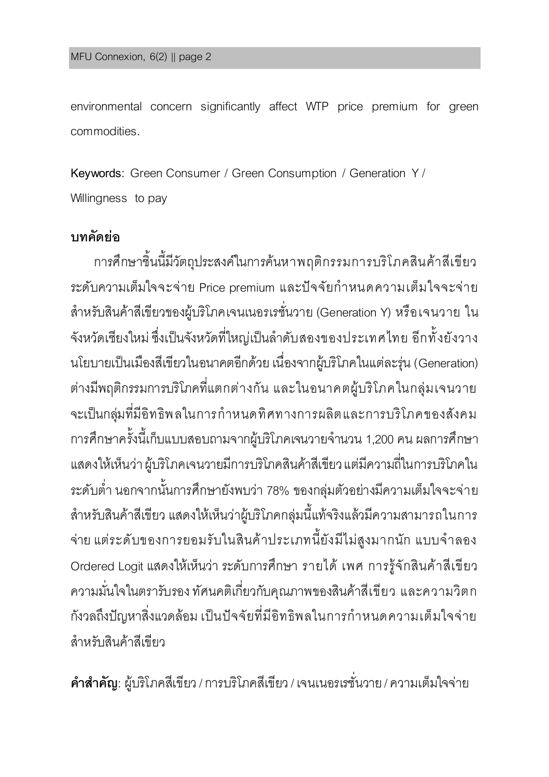environmental concern significantly affect WTP price premium for green commodities.

**Keywords**: Green Consumer / Green Consumption / Generation Y / Willingness to pay

## **บทคัดย่อ**

การศึกษาชิ้นนี้มีวัตถุประสงค์ในการค้นหาพฤติกรรมการบริโภคสินค้าสีเขียว ระดับความเต็มใจจะจ่าย Price premium และปัจจัยกำหนดความเต็มใจจะจ่าย ส าหรับสินค้าสีเขียวของผู้บริโภคเจนเนอรเรชั่นวาย (Generation Y) หรือเจนวาย ใน จังหวัดเชียงใหม่ ซึ่งเป็นจังหวัดที่ใหญ่เป็นล าดับสองของประเทศไทย อีกทั้งยังวาง นโยบายเป็นเมืองสีเขียวในอนาคตอีกด้วย เนื่องจากผู้บริโภคในแต่ละรุ่น (Generation) ต่างมีพฤติกรรมการบริโภคที่แตกต่างกัน และในอนาคตผู้บริโภคในกล่มเจนวาย จะเป็นกล่มที่มีอิทธิพลในการกำหนดทิศทางการผลิตและการบริโภคของสังคม การศึกษาครั้งนี้เก็บแบบสอบถามจากผู้บริโภคเจนวายจำนวน 1,200 คน ผลการศึกษา แสดงให้เห็นว่า ผู้บริโภคเจนวายมีการบริโภคสินค้าสีเขียว แต่มีความถี่ในการบริโภคใน ระดับต่ำ นอกจากนั้นการศึกษายังพบว่า 78% ของกลุ่มตัวอย่างมีความเต็มใจจะจ่าย ้สำหรับสินค้าสีเขียว แสดงให้เห็นว่าผ้บริโภคกล่มนี้แท้จริงแล้วมีความสามารถในการ จ่าย แต่ระดับของการยอมรับในสินค้าประเภทนี้ยังมีไม่สูงมากนัก แบบจำลอง Ordered Logitแสดงให้เห็นว่า ระดับการศึกษา รายได้ เพศ การรู้จักสินค้าสีเขียว ความมั่นใจในตรารับรอง ทัศนคติเกี่ยวกับคุณภาพของสินค้าสีเขียว และความวิตก กังวลถึงปัญหาสิ่งแวดล้อม เป็นปัจจัยที่มีอิทธิพลในการกำหนดความเต็มใจจ่าย สำหรับสิบค้าสีเขียว

**ค ำส ำคัญ**: ผู้บริโภคสีเขียว/ การบริโภคสีเขียว/ เจนเนอรเรชั่นวาย / ความเต็มใจจ่าย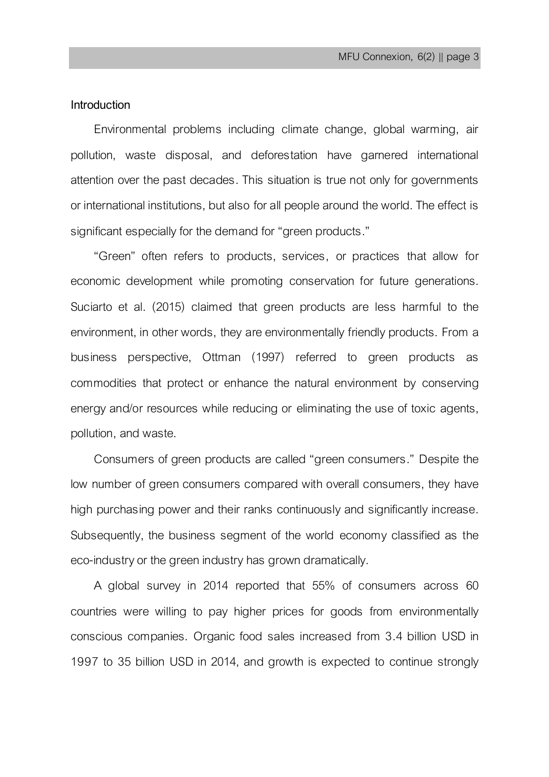### **Introduction**

Environmental problems including climate change, global warming, air pollution, waste disposal, and deforestation have garnered international attention over the past decades. This situation is true not only for governments or international institutions, but also for all people around the world. The effect is significant especially for the demand for "green products."

"Green" often refers to products, services, or practices that allow for economic development while promoting conservation for future generations. Suciarto et al. (2015) claimed that green products are less harmful to the environment, in other words, they are environmentally friendly products. From a business perspective, Ottman (1997) referred to green products as commodities that protect or enhance the natural environment by conserving energy and/or resources while reducing or eliminating the use of toxic agents, pollution, and waste.

Consumers of green products are called "green consumers." Despite the low number of green consumers compared with overall consumers, they have high purchasing power and their ranks continuously and significantly increase. Subsequently, the business segment of the world economy classified as the eco-industry or the green industry has grown dramatically.

A global survey in 2014 reported that 55% of consumers across 60 countries were willing to pay higher prices for goods from environmentally conscious companies. Organic food sales increased from 3.4 billion USD in 1997 to 35 billion USD in 2014, and growth is expected to continue strongly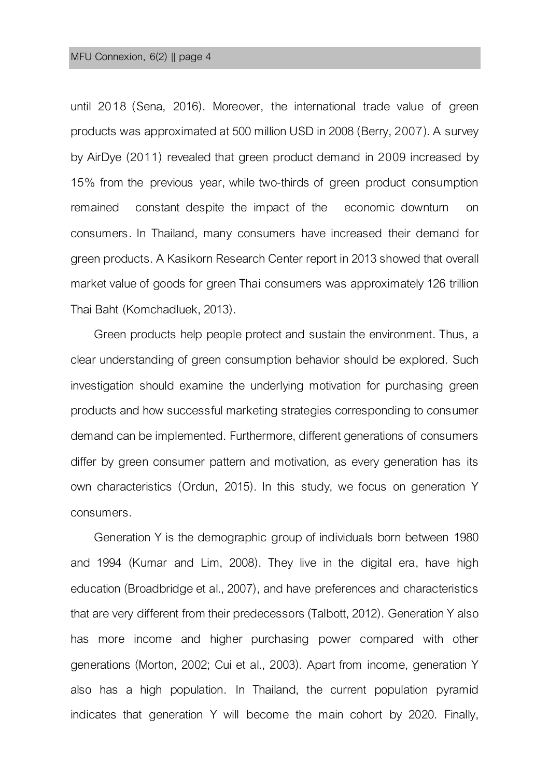until 2018 (Sena, 2016). Moreover, the international trade value of green products was approximated at 500 million USD in 2008 (Berry, 2007). A survey by AirDye (2011) revealed that green product demand in 2009 increased by 15% from the previous year, while two-thirds of green product consumption remained constant despite the impact of the economic downturn on consumers. In Thailand, many consumers have increased their demand for green products. A Kasikorn Research Center report in 2013 showed that overall market value of goods for green Thai consumers was approximately 126 trillion Thai Baht (Komchadluek, 2013).

Green products help people protect and sustain the environment. Thus, a clear understanding of green consumption behavior should be explored. Such investigation should examine the underlying motivation for purchasing green products and how successful marketing strategies corresponding to consumer demand can be implemented. Furthermore, different generations of consumers differ by green consumer pattern and motivation, as every generation has its own characteristics (Ordun, 2015). In this study, we focus on generation Y consumers.

Generation Y is the demographic group of individuals born between 1980 and 1994 (Kumar and Lim, 2008). They live in the digital era, have high education (Broadbridge et al., 2007), and have preferences and characteristics that are very different from their predecessors (Talbott, 2012). Generation Y also has more income and higher purchasing power compared with other generations (Morton, 2002; Cui et al., 2003). Apart from income, generation Y also has a high population. In Thailand, the current population pyramid indicates that generation Y will become the main cohort by 2020. Finally,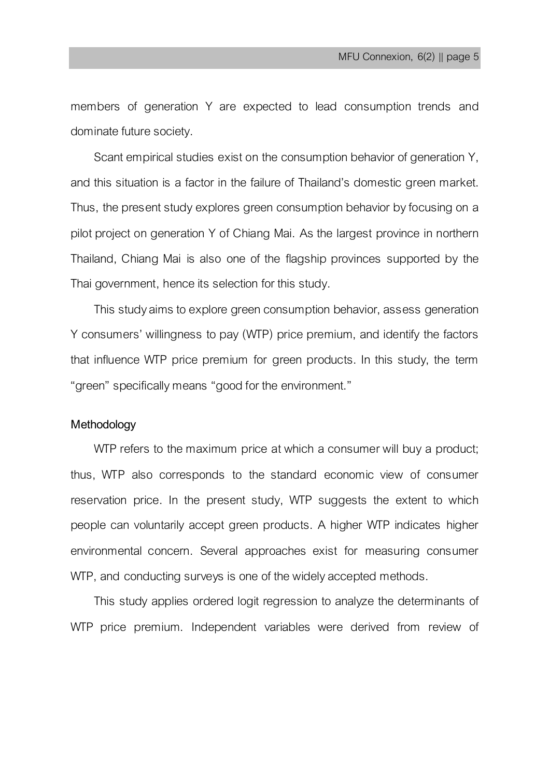members of generation Y are expected to lead consumption trends and dominate future society.

Scant empirical studies exist on the consumption behavior of generation Y, and this situation is a factor in the failure of Thailand's domestic green market. Thus, the present study explores green consumption behavior by focusing on a pilot project on generation Y of Chiang Mai. As the largest province in northern Thailand, Chiang Mai is also one of the flagship provinces supported by the Thai government, hence its selection for this study.

This study aims to explore green consumption behavior, assess generation Y consumers' willingness to pay (WTP) price premium, and identify the factors that influence WTP price premium for green products. In this study, the term "green" specifically means "good for the environment."

### **Methodology**

WTP refers to the maximum price at which a consumer will buy a product; thus, WTP also corresponds to the standard economic view of consumer reservation price. In the present study, WTP suggests the extent to which people can voluntarily accept green products. A higher WTP indicates higher environmental concern. Several approaches exist for measuring consumer WTP, and conducting surveys is one of the widely accepted methods.

This study applies ordered logit regression to analyze the determinants of WTP price premium. Independent variables were derived from review of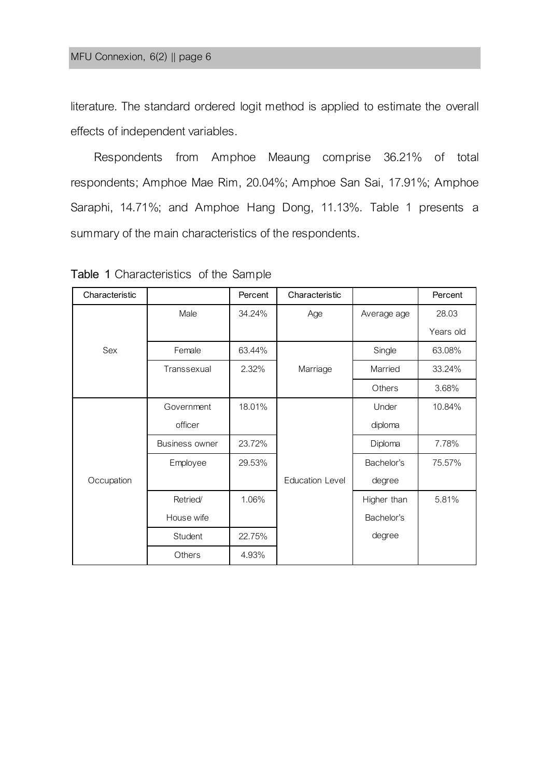literature. The standard ordered logit method is applied to estimate the overall effects of independent variables.

Respondents from Amphoe Meaung comprise 36.21% of total respondents; Amphoe Mae Rim, 20.04%; Amphoe San Sai, 17.91%; Amphoe Saraphi, 14.71%; and Amphoe Hang Dong, 11.13%. Table 1 presents a summary of the main characteristics of the respondents.

| Characteristic |                       | Percent | Characteristic         |             | Percent   |
|----------------|-----------------------|---------|------------------------|-------------|-----------|
|                | Male                  | 34.24%  | Age                    | Average age | 28.03     |
|                |                       |         |                        |             | Years old |
| Sex            | Female                | 63.44%  |                        | Single      | 63.08%    |
|                | Transsexual           | 2.32%   | Marriage               | Married     | 33.24%    |
|                |                       |         |                        | Others      | 3.68%     |
|                | Government            | 18.01%  |                        | Under       | 10.84%    |
|                | officer               |         |                        | diploma     |           |
|                | <b>Business owner</b> | 23.72%  |                        | Diploma     | 7.78%     |
|                | Employee              | 29.53%  |                        | Bachelor's  | 75.57%    |
| Occupation     |                       |         | <b>Education Level</b> | degree      |           |
|                | Retried/              | 1.06%   |                        | Higher than | 5.81%     |
|                | House wife            |         |                        | Bachelor's  |           |
|                | Student               | 22.75%  |                        | degree      |           |
|                | Others                | 4.93%   |                        |             |           |

**Table 1** Characteristics of the Sample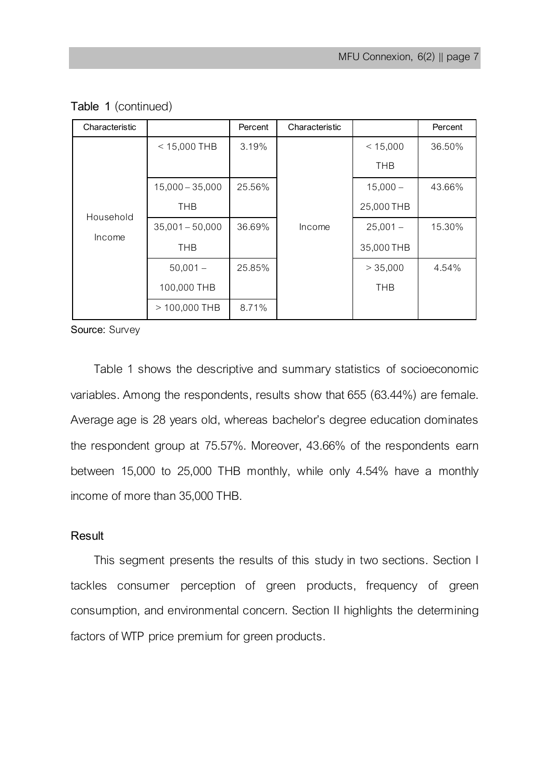| Characteristic      |                   | Percent | Characteristic |            | Percent |
|---------------------|-------------------|---------|----------------|------------|---------|
|                     | $<$ 15,000 THB    | 3.19%   |                | < 15,000   | 36.50%  |
|                     |                   |         |                | <b>THB</b> |         |
|                     | $15,000 - 35,000$ | 25.56%  |                | $15,000 -$ | 43.66%  |
| Household<br>Income | <b>THB</b>        |         |                | 25,000 THB |         |
|                     | $35,001 - 50,000$ | 36.69%  | Income         | $25.001 -$ | 15.30%  |
|                     | <b>THB</b>        |         |                | 35,000 THB |         |
|                     | $50.001 -$        | 25.85%  |                | > 35,000   | 4.54%   |
|                     | 100,000 THB       |         |                | <b>THB</b> |         |
|                     | > 100,000 THB     | 8.71%   |                |            |         |

**Table 1** (continued)

**Source:** Survey

Table 1 shows the descriptive and summary statistics of socioeconomic variables. Among the respondents, results show that655 (63.44%) are female. Average age is 28 years old, whereas bachelor's degree education dominates the respondent group at 75.57%. Moreover, 43.66% of the respondents earn between 15,000 to 25,000 THB monthly, while only 4.54% have a monthly income of more than 35,000 THB.

### **Result**

This segment presents the results of this study in two sections. Section I tackles consumer perception of green products, frequency of green consumption, and environmental concern. Section II highlights the determining factors of WTP price premium for green products.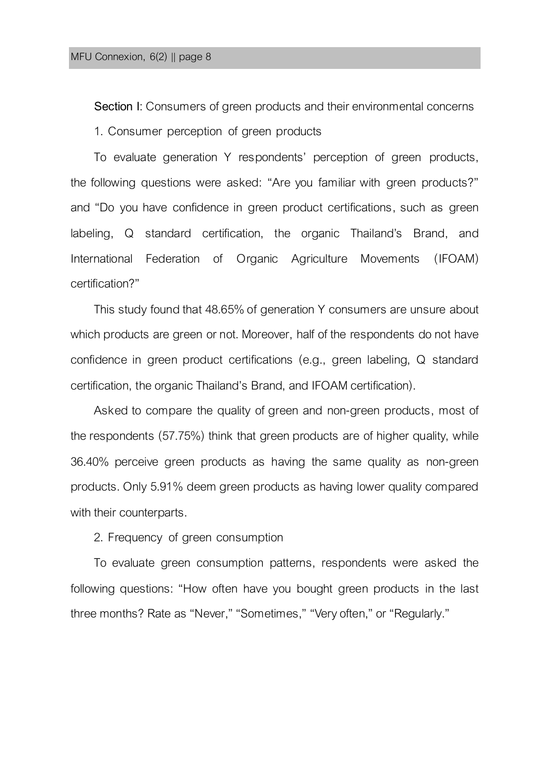**Section I**: Consumers of green products and their environmental concerns 1. Consumer perception of green products

To evaluate generation Y respondents' perception of green products, the following questions were asked: "Are you familiar with green products?" and "Do you have confidence in green product certifications, such as green labeling, Q standard certification, the organic Thailand's Brand, and International Federation of Organic Agriculture Movements (IFOAM) certification?"

This study found that 48.65% of generation Y consumers are unsure about which products are green or not. Moreover, half of the respondents do not have confidence in green product certifications (e.g., green labeling, Q standard certification, the organic Thailand's Brand, and IFOAM certification).

Asked to compare the quality of green and non-green products, most of the respondents (57.75%) think that green products are of higher quality, while 36.40% perceive green products as having the same quality as non-green products. Only 5.91% deem green products as having lower quality compared with their counterparts.

2. Frequency of green consumption

To evaluate green consumption patterns, respondents were asked the following questions: "How often have you bought green products in the last three months? Rate as "Never," "Sometimes," "Very often," or "Regularly."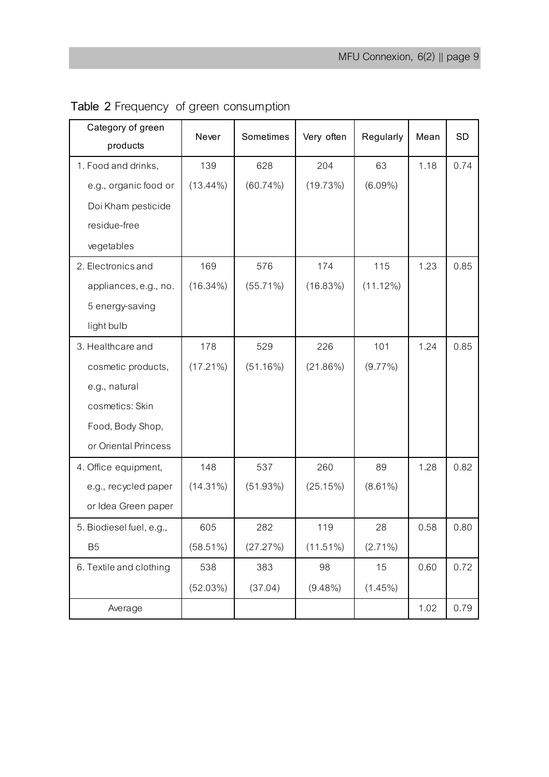| Category of green<br>products | Never       | Sometimes   | Very often  | Regularly   | Mean | <b>SD</b> |
|-------------------------------|-------------|-------------|-------------|-------------|------|-----------|
| 1. Food and drinks,           | 139         | 628         | 204         | 63          | 1.18 | 0.74      |
| e.g., organic food or         | $(13.44\%)$ | $(60.74\%)$ | (19.73%)    | $(6.09\%)$  |      |           |
| Doi Kham pesticide            |             |             |             |             |      |           |
| residue-free                  |             |             |             |             |      |           |
| vegetables                    |             |             |             |             |      |           |
| 2. Electronics and            | 169         | 576         | 174         | 115         | 1.23 | 0.85      |
| appliances, e.g., no.         | $(16.34\%)$ | $(55.71\%)$ | $(16.83\%)$ | $(11.12\%)$ |      |           |
| 5 energy-saving               |             |             |             |             |      |           |
| light bulb                    |             |             |             |             |      |           |
| 3. Healthcare and             | 178         | 529         | 226         | 101         | 1.24 | 0.85      |
| cosmetic products,            | $(17.21\%)$ | (51.16%)    | $(21.86\%)$ | $(9.77\%)$  |      |           |
| e.g., natural                 |             |             |             |             |      |           |
| cosmetics: Skin               |             |             |             |             |      |           |
| Food, Body Shop,              |             |             |             |             |      |           |
| or Oriental Princess          |             |             |             |             |      |           |
| 4. Office equipment,          | 148         | 537         | 260         | 89          | 1.28 | 0.82      |
| e.g., recycled paper          | $(14.31\%)$ | (51.93%)    | (25.15%)    | $(8.61\%)$  |      |           |
| or Idea Green paper           |             |             |             |             |      |           |
| 5. Biodiesel fuel, e.g.,      | 605         | 282         | 119         | 28          | 0.58 | 0.80      |
| <b>B5</b>                     | $(58.51\%)$ | (27.27%)    | $(11.51\%)$ | $(2.71\%)$  |      |           |
| 6. Textile and clothing       | 538         | 383         | 98          | 15          | 0.60 | 0.72      |
|                               | (52.03%)    | (37.04)     | $(9.48\%)$  | $(1.45\%)$  |      |           |
| Average                       |             |             |             |             | 1.02 | 0.79      |

| Table 2 Frequency of green consumption |  |  |  |
|----------------------------------------|--|--|--|
|----------------------------------------|--|--|--|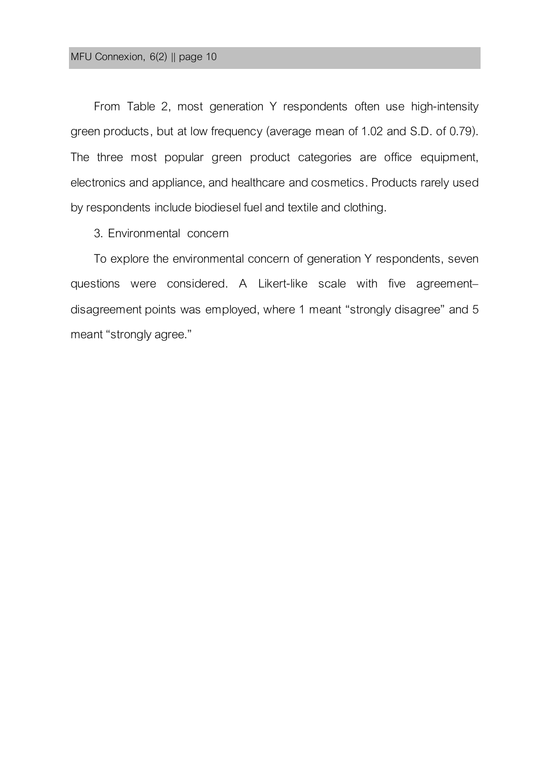From Table 2, most generation Y respondents often use high-intensity green products, but at low frequency (average mean of 1.02 and S.D. of 0.79). The three most popular green product categories are office equipment, electronics and appliance, and healthcare and cosmetics. Products rarely used by respondents include biodiesel fuel and textile and clothing.

3. Environmental concern

To explore the environmental concern of generation Y respondents, seven questions were considered. A Likert-like scale with five agreement– disagreement points was employed, where 1 meant "strongly disagree" and 5 meant "strongly agree."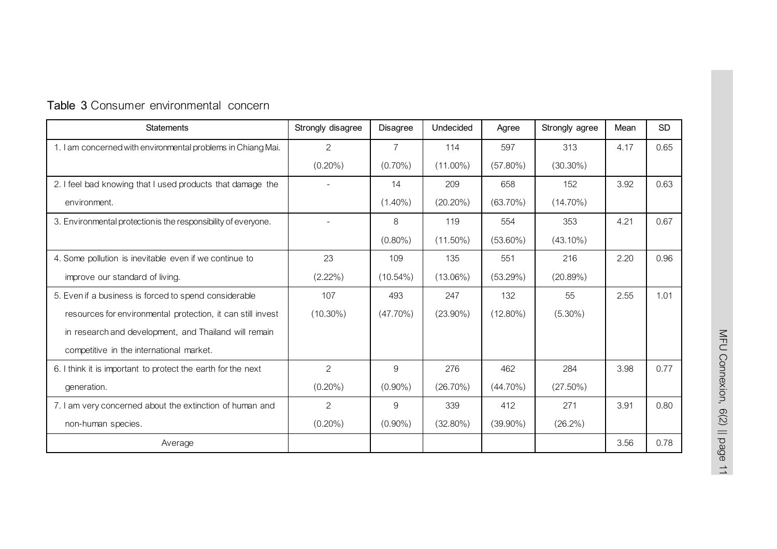| <b>Statements</b>                                              | Strongly disagree | <b>Disagree</b> | Undecided   | Agree       | Strongly agree | Mean | <b>SD</b> |
|----------------------------------------------------------------|-------------------|-----------------|-------------|-------------|----------------|------|-----------|
| 1. I am concerned with environmental problems in Chiang Mai.   | $\mathcal{P}$     | $\overline{7}$  | 114         | 597         | 313            | 4.17 | 0.65      |
|                                                                | $(0.20\%)$        | $(0.70\%)$      | $(11.00\%)$ | $(57.80\%)$ | $(30.30\%)$    |      |           |
| 2. I feel bad knowing that I used products that damage the     |                   | 14              | 209         | 658         | 152            | 3.92 | 0.63      |
| environment.                                                   |                   | $(1.40\%)$      | $(20.20\%)$ | $(63.70\%)$ | $(14.70\%)$    |      |           |
| 3. Environmental protection is the responsibility of everyone. |                   | 8               | 119         | 554         | 353            | 4.21 | 0.67      |
|                                                                |                   | $(0.80\%)$      | $(11.50\%)$ | $(53.60\%)$ | $(43.10\%)$    |      |           |
| 4. Some pollution is inevitable even if we continue to         | 23                | 109             | 135         | 551         | 216            | 2.20 | 0.96      |
| improve our standard of living.                                | $(2.22\%)$        | $(10.54\%)$     | $(13.06\%)$ | (53.29%)    | (20.89%)       |      |           |
| 5. Even if a business is forced to spend considerable          | 107               | 493             | 247         | 132         | 55             | 2.55 | 1.01      |
| resources for environmental protection, it can still invest    | $(10.30\%)$       | $(47.70\%)$     | $(23.90\%)$ | $(12.80\%)$ | $(5.30\%)$     |      |           |
| in research and development, and Thailand will remain          |                   |                 |             |             |                |      |           |
| competitive in the international market.                       |                   |                 |             |             |                |      |           |
| 6. I think it is important to protect the earth for the next   | $\overline{2}$    | 9               | 276         | 462         | 284            | 3.98 | 0.77      |
| generation.                                                    | $(0.20\%)$        | $(0.90\%)$      | $(26.70\%)$ | $(44.70\%)$ | $(27.50\%)$    |      |           |
| 7. I am very concerned about the extinction of human and       | 2                 | 9               | 339         | 412         | 271            | 3.91 | 0.80      |
| non-human species.                                             | $(0.20\%)$        | $(0.90\%)$      | $(32.80\%)$ | $(39.90\%)$ | $(26.2\%)$     |      |           |
| Average                                                        |                   |                 |             |             |                | 3.56 | 0.78      |

## **Table 3** Consumer environmental concern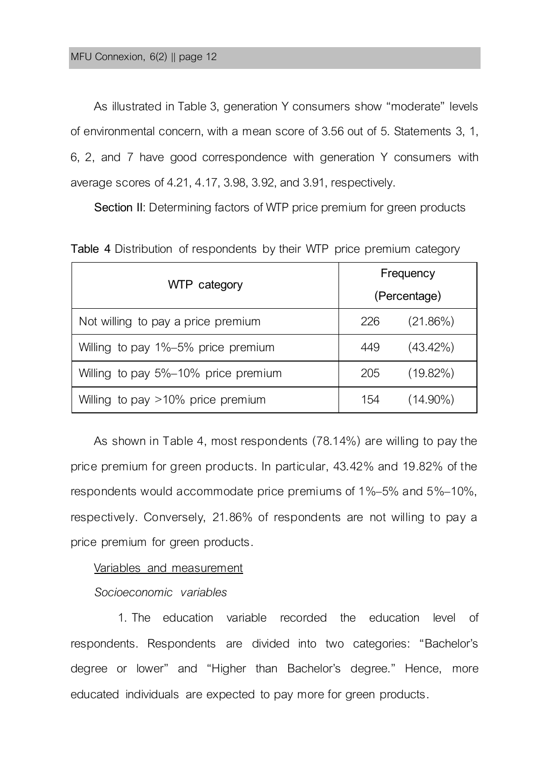As illustrated in Table 3, generation Y consumers show "moderate" levels of environmental concern, with a mean score of 3.56 out of 5. Statements 3, 1, 6, 2, and 7 have good correspondence with generation Y consumers with average scores of 4.21, 4.17, 3.98, 3.92, and 3.91, respectively.

**Section II:** Determining factors of WTP price premium for green products

|                                     | Frequency    |             |  |  |
|-------------------------------------|--------------|-------------|--|--|
| WTP category                        | (Percentage) |             |  |  |
| Not willing to pay a price premium  | 226          | $(21.86\%)$ |  |  |
| Willing to pay 1%-5% price premium  | 449          | $(43.42\%)$ |  |  |
| Willing to pay 5%-10% price premium | 205          | $(19.82\%)$ |  |  |
| Willing to pay >10% price premium   | 154          | $(14.90\%)$ |  |  |

**Table 4** Distribution of respondents by their WTP price premium category

As shown in Table 4, most respondents (78.14%) are willing to pay the price premium for green products. In particular, 43.42% and 19.82% of the respondents would accommodate price premiums of 1%–5% and 5%–10%, respectively. Conversely, 21.86% of respondents are not willing to pay a price premium for green products.

### Variables and measurement

### *Socioeconomic variables*

1. The education variable recorded the education level of respondents. Respondents are divided into two categories: "Bachelor's degree or lower" and "Higher than Bachelor's degree." Hence, more educated individuals are expected to pay more for green products.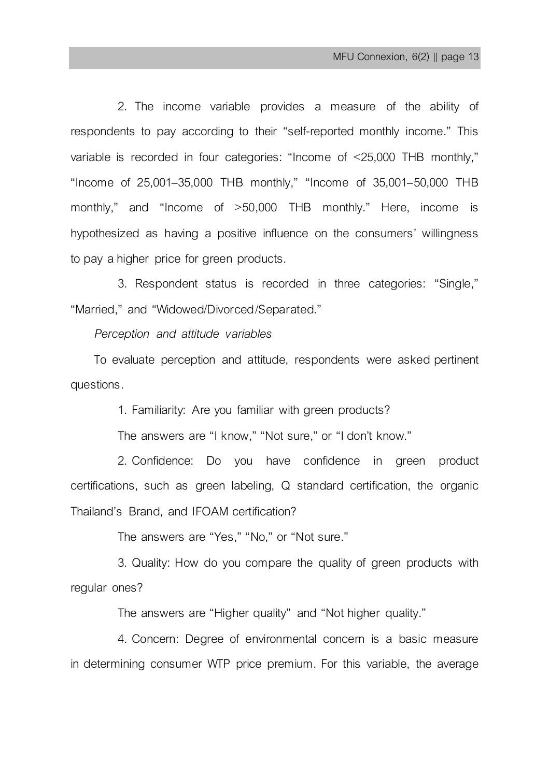2. The income variable provides a measure of the ability of respondents to pay according to their "self-reported monthly income." This variable is recorded in four categories: "Income of <25,000 THB monthly," "Income of 25,001–35,000 THB monthly," "Income of 35,001–50,000 THB monthly," and "Income of >50,000 THB monthly." Here, income is hypothesized as having a positive influence on the consumers' willingness to pay a higher price for green products.

3. Respondent status is recorded in three categories: "Single," "Married," and "Widowed/Divorced/Separated."

*Perception and attitude variables*

To evaluate perception and attitude, respondents were asked pertinent questions.

1. Familiarity: Are you familiar with green products?

The answers are "I know," "Not sure," or "I don't know."

2. Confidence: Do you have confidence in green product certifications, such as green labeling, Q standard certification, the organic Thailand's Brand, and IFOAM certification?

The answers are "Yes," "No," or "Not sure."

3. Quality: How do you compare the quality of green products with regular ones?

The answers are "Higher quality" and "Not higher quality."

4. Concern: Degree of environmental concern is a basic measure in determining consumer WTP price premium. For this variable, the average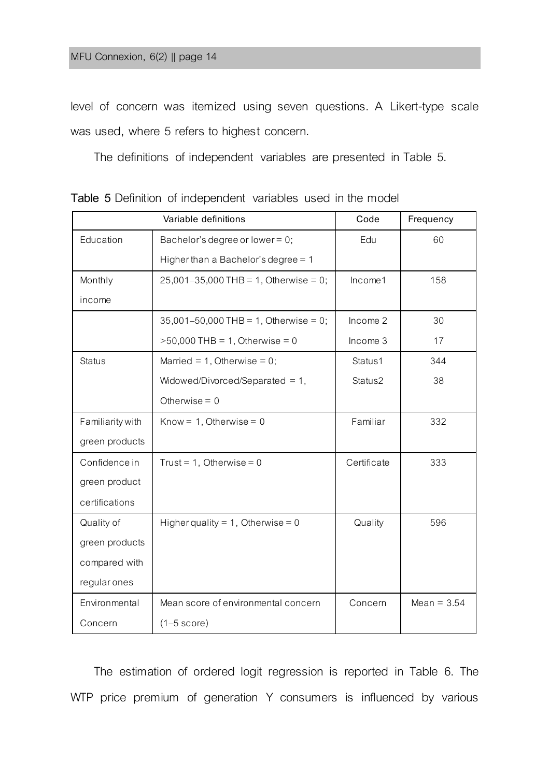level of concern was itemized using seven questions. A Likert-type scale was used, where 5 refers to highest concern.

The definitions of independent variables are presented in Table 5.

|                  | Variable definitions                      | Code        | Frequency     |
|------------------|-------------------------------------------|-------------|---------------|
| Education        | Bachelor's degree or lower = $0$ ;        | Edu         | 60            |
|                  | Higher than a Bachelor's degree $= 1$     |             |               |
| Monthly          | $25,001-35,000$ THB = 1, Otherwise = 0;   | Income1     | 158           |
| income           |                                           |             |               |
|                  | $35,001 - 50,000$ THB = 1, Otherwise = 0; | Income 2    | 30            |
|                  | $>50,000$ THB = 1, Otherwise = 0          | Income 3    | 17            |
| <b>Status</b>    | Married = 1, Otherwise = $0$ ;            | Status1     | 344           |
|                  | Widowed/Divorced/Separated $= 1$ ,        | Status2     | 38            |
|                  | Otherwise $= 0$                           |             |               |
| Familiarity with | Know = $1$ , Otherwise = 0                | Familiar    | 332           |
| green products   |                                           |             |               |
| Confidence in    | Trust = 1, Otherwise = $0$                | Certificate | 333           |
| green product    |                                           |             |               |
| certifications   |                                           |             |               |
| Quality of       | Higher quality = 1, Otherwise = 0         | Quality     | 596           |
| green products   |                                           |             |               |
| compared with    |                                           |             |               |
| regular ones     |                                           |             |               |
| Environmental    | Mean score of environmental concern       | Concern     | Mean = $3.54$ |
| Concern          | $(1-5 \text{ score})$                     |             |               |

**Table 5** Definition of independent variables used in the model

The estimation of ordered logit regression is reported in Table 6. The WTP price premium of generation Y consumers is influenced by various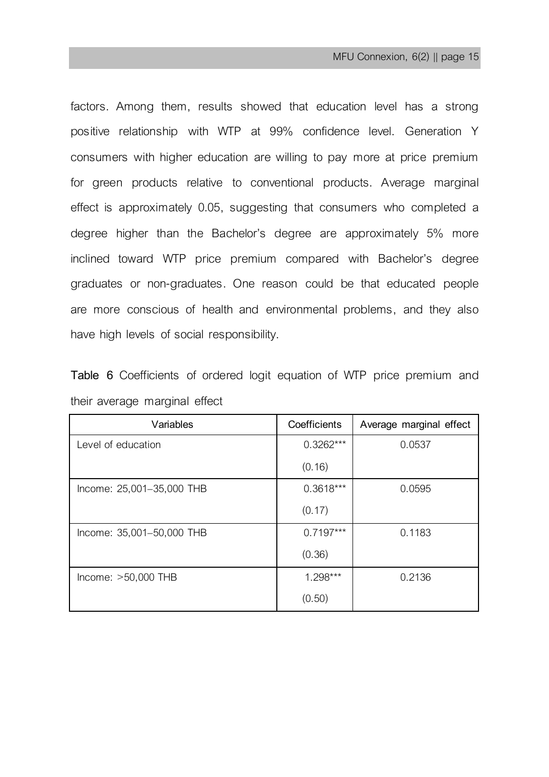factors. Among them, results showed that education level has a strong positive relationship with WTP at 99% confidence level. Generation Y consumers with higher education are willing to pay more at price premium for green products relative to conventional products. Average marginal effect is approximately 0.05, suggesting that consumers who completed a degree higher than the Bachelor's degree are approximately 5% more inclined toward WTP price premium compared with Bachelor's degree graduates or non-graduates. One reason could be that educated people are more conscious of health and environmental problems, and they also have high levels of social responsibility.

|  | Table 6 Coefficients of ordered logit equation of WTP price premium and |  |  |  |  |  |
|--|-------------------------------------------------------------------------|--|--|--|--|--|
|  | their average marginal effect                                           |  |  |  |  |  |

| Variables                 | Coefficients | Average marginal effect |
|---------------------------|--------------|-------------------------|
| I evel of education       | $0.3262***$  | 0.0537                  |
|                           | (0.16)       |                         |
| Income: 25,001-35,000 THB | $0.3618***$  | 0.0595                  |
|                           | (0.17)       |                         |
| Income: 35,001-50,000 THB | $0.7197***$  | 0.1183                  |
|                           | (0.36)       |                         |
| $Income: >50,000 THB$     | $1.298***$   | 0.2136                  |
|                           | (0.50)       |                         |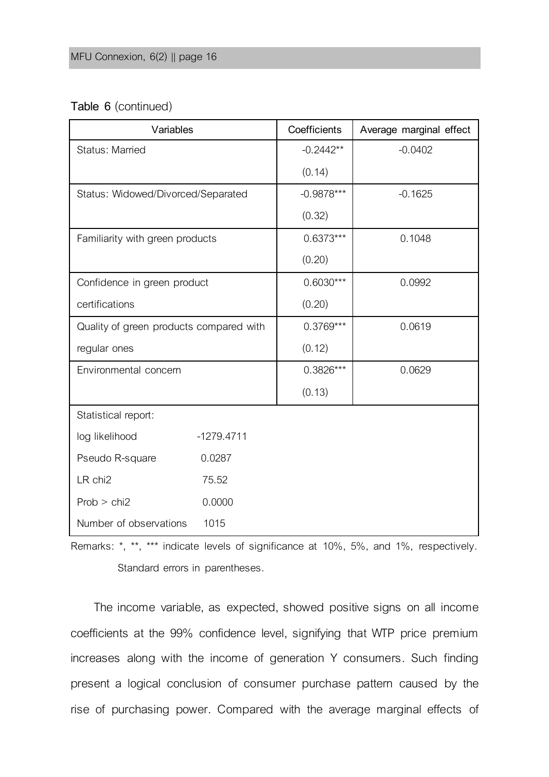### **Table 6** (continued)

| Variables                               |              | Coefficients | Average marginal effect |
|-----------------------------------------|--------------|--------------|-------------------------|
| Status: Married                         |              | $-0.2442**$  | $-0.0402$               |
|                                         |              | (0.14)       |                         |
| Status: Widowed/Divorced/Separated      |              | $-0.9878***$ | $-0.1625$               |
|                                         |              | (0.32)       |                         |
| Familiarity with green products         |              | $0.6373***$  | 0.1048                  |
|                                         |              | (0.20)       |                         |
| Confidence in green product             |              | $0.6030***$  | 0.0992                  |
| certifications                          |              | (0.20)       |                         |
| Quality of green products compared with |              | $0.3769***$  | 0.0619                  |
| regular ones                            |              | (0.12)       |                         |
| Environmental concern                   |              | $0.3826***$  | 0.0629                  |
|                                         |              | (0.13)       |                         |
| Statistical report:                     |              |              |                         |
| log likelihood                          | $-1279.4711$ |              |                         |
| Pseudo R-square                         | 0.0287       |              |                         |
| LR chi2                                 | 75.52        |              |                         |
| Prob > chi2                             | 0.0000       |              |                         |
| Number of observations                  | 1015         |              |                         |

Remarks: \*, \*\*, \*\*\* indicate levels of significance at 10%, 5%, and 1%, respectively. Standard errors in parentheses.

The income variable, as expected, showed positive signs on all income coefficients at the 99% confidence level, signifying that WTP price premium increases along with the income of generation Y consumers. Such finding present a logical conclusion of consumer purchase pattern caused by the rise of purchasing power. Compared with the average marginal effects of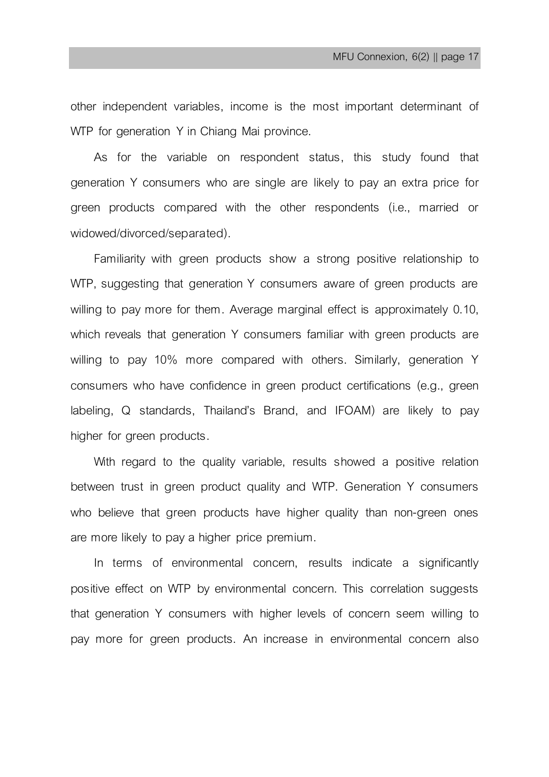other independent variables, income is the most important determinant of WTP for generation Y in Chiang Mai province.

As for the variable on respondent status, this study found that generation Y consumers who are single are likely to pay an extra price for green products compared with the other respondents (i.e., married or widowed/divorced/separated).

Familiarity with green products show a strong positive relationship to WTP, suggesting that generation Y consumers aware of green products are willing to pay more for them. Average marginal effect is approximately 0.10, which reveals that generation Y consumers familiar with green products are willing to pay 10% more compared with others. Similarly, generation Y consumers who have confidence in green product certifications (e.g., green labeling, Q standards, Thailand's Brand, and IFOAM) are likely to pay higher for green products.

With regard to the quality variable, results showed a positive relation between trust in green product quality and WTP. Generation Y consumers who believe that green products have higher quality than non-green ones are more likely to pay a higher price premium.

In terms of environmental concern, results indicate a significantly positive effect on WTP by environmental concern. This correlation suggests that generation Y consumers with higher levels of concern seem willing to pay more for green products. An increase in environmental concern also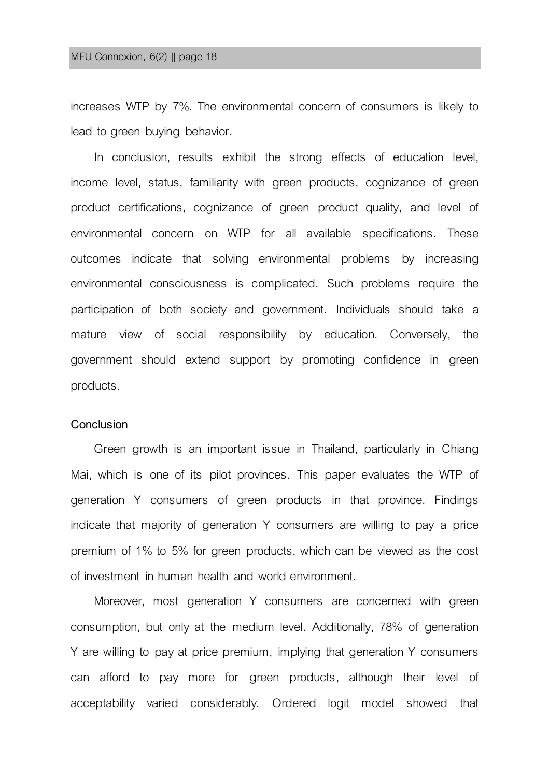increases WTP by 7%. The environmental concern of consumers is likely to lead to green buying behavior.

In conclusion, results exhibit the strong effects of education level, income level, status, familiarity with green products, cognizance of green product certifications, cognizance of green product quality, and level of environmental concern on WTP for all available specifications. These outcomes indicate that solving environmental problems by increasing environmental consciousness is complicated. Such problems require the participation of both society and government. Individuals should take a mature view of social responsibility by education. Conversely, the government should extend support by promoting confidence in green products.

#### **Conclusion**

Green growth is an important issue in Thailand, particularly in Chiang Mai, which is one of its pilot provinces. This paper evaluates the WTP of generation Y consumers of green products in that province. Findings indicate that majority of generation Y consumers are willing to pay a price premium of 1% to 5% for green products, which can be viewed as the cost of investment in human health and world environment.

Moreover, most generation Y consumers are concerned with green consumption, but only at the medium level. Additionally, 78% of generation Y are willing to pay at price premium, implying that generation Y consumers can afford to pay more for green products, although their level of acceptability varied considerably. Ordered logit model showed that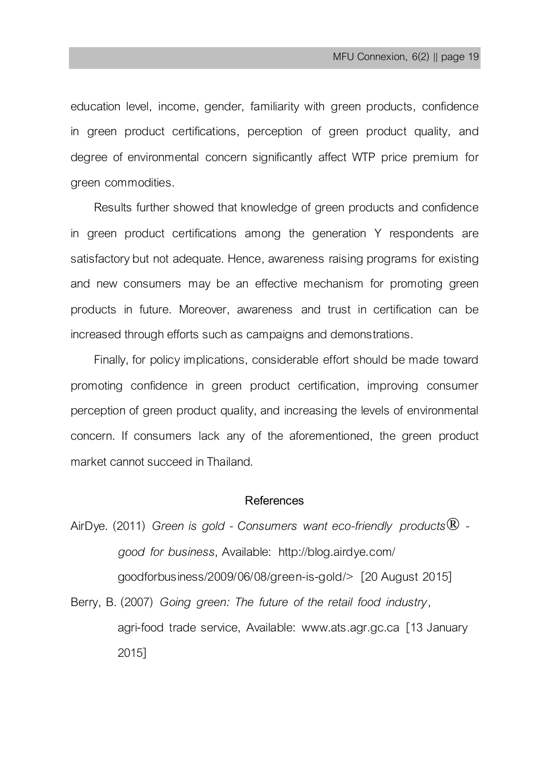education level, income, gender, familiarity with green products, confidence in green product certifications, perception of green product quality, and degree of environmental concern significantly affect WTP price premium for green commodities.

Results further showed that knowledge of green products and confidence in green product certifications among the generation Y respondents are satisfactory but not adequate. Hence, awareness raising programs for existing and new consumers may be an effective mechanism for promoting green products in future. Moreover, awareness and trust in certification can be increased through efforts such as campaigns and demonstrations.

Finally, for policy implications, considerable effort should be made toward promoting confidence in green product certification, improving consumer perception of green product quality, and increasing the levels of environmental concern. If consumers lack any of the aforementioned, the green product market cannot succeed in Thailand.

### **References**

AirDye. (2011) *Green is gold - Consumers want eco-friendly products® good for business*, Available: http://blog.airdye.com/ goodforbusiness/2009/06/08/green-is-gold/> [20 August 2015]

Berry, B. (2007) *Going green: The future of the retail food industry*, agri-food trade service, Available: www.ats.agr.gc.ca [13 January 2015]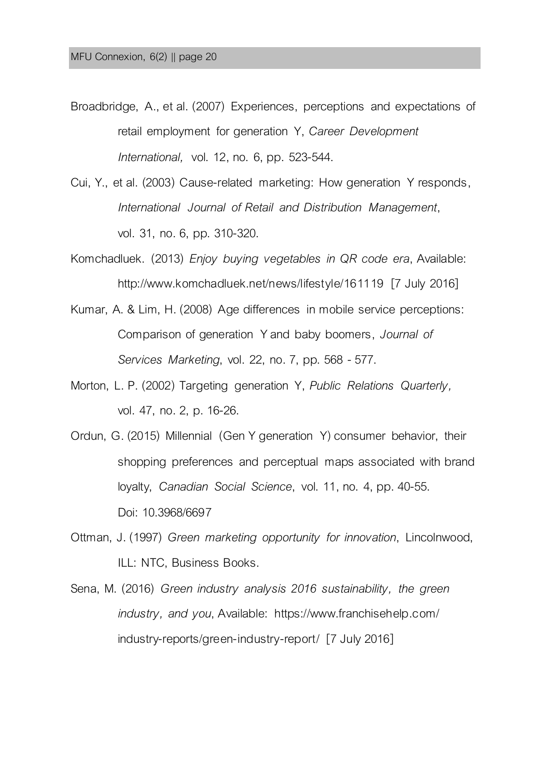- Broadbridge, A., et al. (2007) Experiences, perceptions and expectations of retail employment for generation Y, *Career Development International,* vol. 12, no. 6, pp. 523-544.
- Cui, Y., et al. (2003) Cause-related marketing: How generation Y responds, *International Journal of Retail and Distribution Management*, vol. 31, no. 6, pp. 310-320.
- Komchadluek. (2013) *Enjoy buying vegetables in QR code era*, Available: http://www.komchadluek.net/news/lifestyle/161119 [7 July 2016]
- Kumar, A. & Lim, H. (2008) Age differences in mobile service perceptions: Comparison of generation Y and baby boomers, *Journal of Services Marketing*, vol. 22, no. 7, pp. 568 -577.
- Morton, L. P. (2002) Targeting generation Y, *Public Relations Quarterly,*  vol. 47, no. 2, p. 16-26.
- Ordun, G. (2015) Millennial (Gen Y generation Y) consumer behavior, their shopping preferences and perceptual maps associated with brand loyalty, *Canadian Social Science*, vol. 11, no. 4, pp. 40-55. Doi: 10.3968/6697
- Ottman, J. (1997) *Green marketing opportunity for innovation*, Lincolnwood, ILL: NTC, Business Books.
- Sena, M. (2016) *Green industry analysis 2016 sustainability, the green industry, and you*, Available: https://www.franchisehelp.com/ industry-reports/green-industry-report/ [7 July 2016]